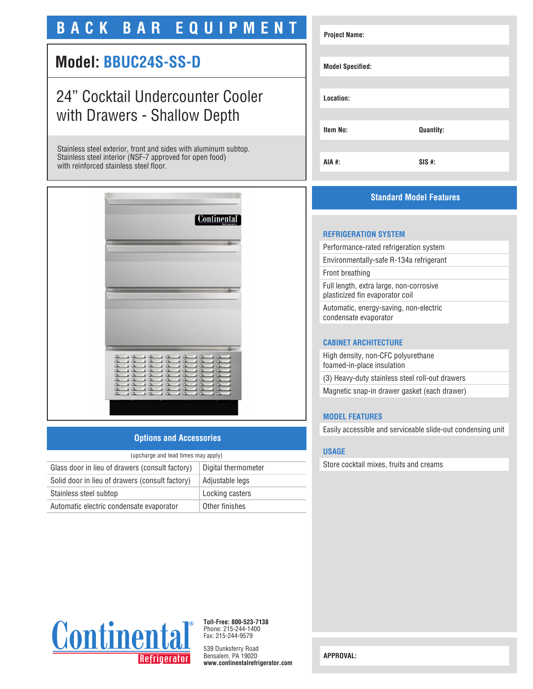# **BACK BAR EQUIPMENT**

# **Model: BBUC24S-SS-D**

# 24" Cocktail Undercounter Cooler with Drawers - Shallow Depth

Stainless steel exterior, front and sides with aluminum subtop. Stainless steel interior (NSF-7 approved for open food) with reinforced stainless steel floor.



## **Options and Accessories**

| (upcharge and lead times may apply)             |                     |  |
|-------------------------------------------------|---------------------|--|
| Glass door in lieu of drawers (consult factory) | Digital thermometer |  |
| Solid door in lieu of drawers (consult factory) | Adjustable legs     |  |
| Stainless steel subtop                          | Locking casters     |  |
| Automatic electric condensate evaporator        | Other finishes      |  |

| <b>Project Name:</b>    |           |  |
|-------------------------|-----------|--|
| <b>Model Specified:</b> |           |  |
| Location:               |           |  |
| <b>Item No:</b>         | Quantity: |  |
|                         |           |  |
| AIA #:                  | $SIS$ #:  |  |

# **Standard Model Features**

### **REFRIGERATION SYSTEM**

| Performance-rated refrigeration system                                     |
|----------------------------------------------------------------------------|
| Environmentally-safe R-134a refrigerant                                    |
| Front breathing                                                            |
| Full length, extra large, non-corrosive<br>plasticized fin evaporator coil |
| Automatic, energy-saving, non-electric<br>condensate evaporator            |
|                                                                            |

### **CABINET ARCHITECTURE**

High density, non-CFC polyurethane foamed-in-place insulation (3) Heavy-duty stainless steel roll-out drawers Magnetic snap-in drawer gasket (each drawer)

## **MODEL FEATURES**

Easily accessible and serviceable slide-out condensing unit

#### **USAGE**

Store cocktail mixes, fruits and creams



**Toll-Free: 800-523-7138** Phone: 215-244-1400 Fax: 215-244-9579

539 Dunksferry Road Bensalem, PA 19020 **www.continentalrefrigerator.com** 

**APPROVAL:**